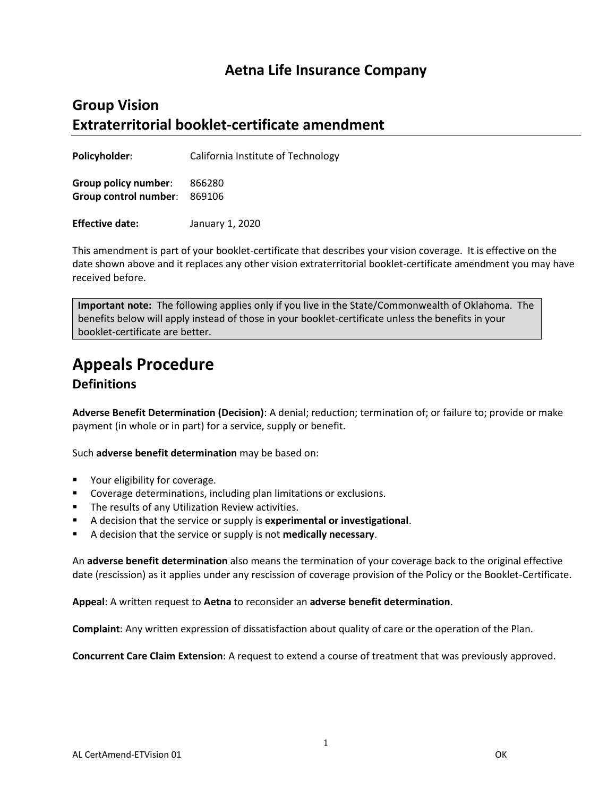## **Aetna Life Insurance Company**

## **Group Vision Extraterritorial booklet-certificate amendment**

**Policyholder**: California Institute of Technology

**Group policy number**: 866280 **Group control number**: 869106

**Effective date:** January 1, 2020

This amendment is part of your booklet-certificate that describes your vision coverage. It is effective on the date shown above and it replaces any other vision extraterritorial booklet-certificate amendment you may have received before.

**Important note:** The following applies only if you live in the State/Commonwealth of Oklahoma. The benefits below will apply instead of those in your booklet-certificate unless the benefits in your booklet-certificate are better.

# **Appeals Procedure**

## **Definitions**

**Adverse Benefit Determination (Decision)**: A denial; reduction; termination of; or failure to; provide or make payment (in whole or in part) for a service, supply or benefit.

Such **adverse benefit determination** may be based on:

- **•** Your eligibility for coverage.
- **Coverage determinations, including plan limitations or exclusions.**
- **The results of any Utilization Review activities.**
- A decision that the service or supply is **experimental or investigational**.
- A decision that the service or supply is not **medically necessary**.

An **adverse benefit determination** also means the termination of your coverage back to the original effective date (rescission) as it applies under any rescission of coverage provision of the Policy or the Booklet-Certificate.

**Appeal**: A written request to **Aetna** to reconsider an **adverse benefit determination**.

**Complaint**: Any written expression of dissatisfaction about quality of care or the operation of the Plan.

**Concurrent Care Claim Extension**: A request to extend a course of treatment that was previously approved.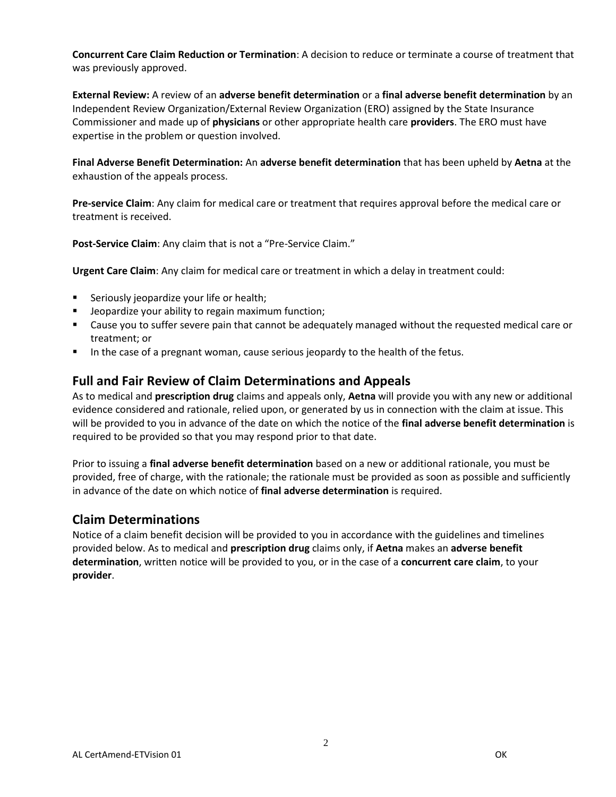**Concurrent Care Claim Reduction or Termination**: A decision to reduce or terminate a course of treatment that was previously approved.

**External Review:** A review of an **adverse benefit determination** or a **final adverse benefit determination** by an Independent Review Organization/External Review Organization (ERO) assigned by the State Insurance Commissioner and made up of **physicians** or other appropriate health care **providers**. The ERO must have expertise in the problem or question involved.

**Final Adverse Benefit Determination:** An **adverse benefit determination** that has been upheld by **Aetna** at the exhaustion of the appeals process.

**Pre-service Claim**: Any claim for medical care or treatment that requires approval before the medical care or treatment is received.

**Post-Service Claim**: Any claim that is not a "Pre-Service Claim."

**Urgent Care Claim**: Any claim for medical care or treatment in which a delay in treatment could:

- **Seriously jeopardize your life or health;**
- **Jeopardize your ability to regain maximum function;**
- Cause you to suffer severe pain that cannot be adequately managed without the requested medical care or treatment; or
- In the case of a pregnant woman, cause serious jeopardy to the health of the fetus.

## **Full and Fair Review of Claim Determinations and Appeals**

As to medical and **prescription drug** claims and appeals only, **Aetna** will provide you with any new or additional evidence considered and rationale, relied upon, or generated by us in connection with the claim at issue. This will be provided to you in advance of the date on which the notice of the **final adverse benefit determination** is required to be provided so that you may respond prior to that date.

Prior to issuing a **final adverse benefit determination** based on a new or additional rationale, you must be provided, free of charge, with the rationale; the rationale must be provided as soon as possible and sufficiently in advance of the date on which notice of **final adverse determination** is required.

## **Claim Determinations**

Notice of a claim benefit decision will be provided to you in accordance with the guidelines and timelines provided below. As to medical and **prescription drug** claims only, if **Aetna** makes an **adverse benefit determination**, written notice will be provided to you, or in the case of a **concurrent care claim**, to your **provider**.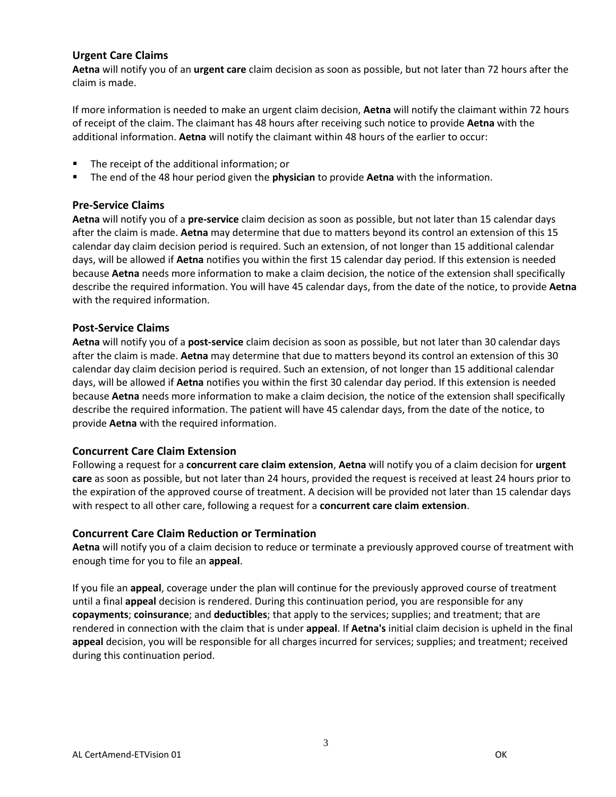#### **Urgent Care Claims**

**Aetna** will notify you of an **urgent care** claim decision as soon as possible, but not later than 72 hours after the claim is made.

If more information is needed to make an urgent claim decision, **Aetna** will notify the claimant within 72 hours of receipt of the claim. The claimant has 48 hours after receiving such notice to provide **Aetna** with the additional information. **Aetna** will notify the claimant within 48 hours of the earlier to occur:

- The receipt of the additional information; or
- The end of the 48 hour period given the **physician** to provide **Aetna** with the information.

#### **Pre-Service Claims**

**Aetna** will notify you of a **pre-service** claim decision as soon as possible, but not later than 15 calendar days after the claim is made. **Aetna** may determine that due to matters beyond its control an extension of this 15 calendar day claim decision period is required. Such an extension, of not longer than 15 additional calendar days, will be allowed if **Aetna** notifies you within the first 15 calendar day period. If this extension is needed because **Aetna** needs more information to make a claim decision, the notice of the extension shall specifically describe the required information. You will have 45 calendar days, from the date of the notice, to provide **Aetna** with the required information.

#### **Post-Service Claims**

**Aetna** will notify you of a **post-service** claim decision as soon as possible, but not later than 30 calendar days after the claim is made. **Aetna** may determine that due to matters beyond its control an extension of this 30 calendar day claim decision period is required. Such an extension, of not longer than 15 additional calendar days, will be allowed if **Aetna** notifies you within the first 30 calendar day period. If this extension is needed because **Aetna** needs more information to make a claim decision, the notice of the extension shall specifically describe the required information. The patient will have 45 calendar days, from the date of the notice, to provide **Aetna** with the required information.

#### **Concurrent Care Claim Extension**

Following a request for a **concurrent care claim extension**, **Aetna** will notify you of a claim decision for **urgent care** as soon as possible, but not later than 24 hours, provided the request is received at least 24 hours prior to the expiration of the approved course of treatment. A decision will be provided not later than 15 calendar days with respect to all other care, following a request for a **concurrent care claim extension**.

#### **Concurrent Care Claim Reduction or Termination**

**Aetna** will notify you of a claim decision to reduce or terminate a previously approved course of treatment with enough time for you to file an **appeal**.

If you file an **appeal**, coverage under the plan will continue for the previously approved course of treatment until a final **appeal** decision is rendered. During this continuation period, you are responsible for any **copayments**; **coinsurance**; and **deductibles**; that apply to the services; supplies; and treatment; that are rendered in connection with the claim that is under **appeal**. If **Aetna's** initial claim decision is upheld in the final **appeal** decision, you will be responsible for all charges incurred for services; supplies; and treatment; received during this continuation period.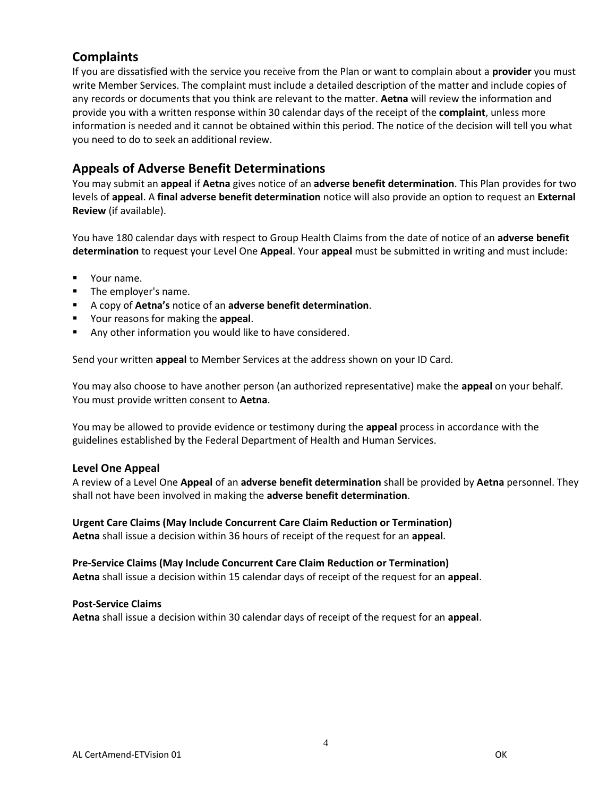## **Complaints**

If you are dissatisfied with the service you receive from the Plan or want to complain about a **provider** you must write Member Services. The complaint must include a detailed description of the matter and include copies of any records or documents that you think are relevant to the matter. **Aetna** will review the information and provide you with a written response within 30 calendar days of the receipt of the **complaint**, unless more information is needed and it cannot be obtained within this period. The notice of the decision will tell you what you need to do to seek an additional review.

## **Appeals of Adverse Benefit Determinations**

You may submit an **appeal** if **Aetna** gives notice of an **adverse benefit determination**. This Plan provides for two levels of **appeal**. A **final adverse benefit determination** notice will also provide an option to request an **External Review** (if available).

You have 180 calendar days with respect to Group Health Claims from the date of notice of an **adverse benefit determination** to request your Level One **Appeal**. Your **appeal** must be submitted in writing and must include:

- **v** Your name.
- **The employer's name.**
- A copy of **Aetna's** notice of an **adverse benefit determination**.
- Your reasons for making the **appeal**.
- Any other information you would like to have considered.

Send your written **appeal** to Member Services at the address shown on your ID Card.

You may also choose to have another person (an authorized representative) make the **appeal** on your behalf. You must provide written consent to **Aetna**.

You may be allowed to provide evidence or testimony during the **appeal** process in accordance with the guidelines established by the Federal Department of Health and Human Services.

#### **Level One Appeal**

A review of a Level One **Appeal** of an **adverse benefit determination** shall be provided by **Aetna** personnel. They shall not have been involved in making the **adverse benefit determination**.

**Urgent Care Claims (May Include Concurrent Care Claim Reduction or Termination) Aetna** shall issue a decision within 36 hours of receipt of the request for an **appeal**.

#### **Pre-Service Claims (May Include Concurrent Care Claim Reduction or Termination)**

**Aetna** shall issue a decision within 15 calendar days of receipt of the request for an **appeal**.

#### **Post-Service Claims**

**Aetna** shall issue a decision within 30 calendar days of receipt of the request for an **appeal**.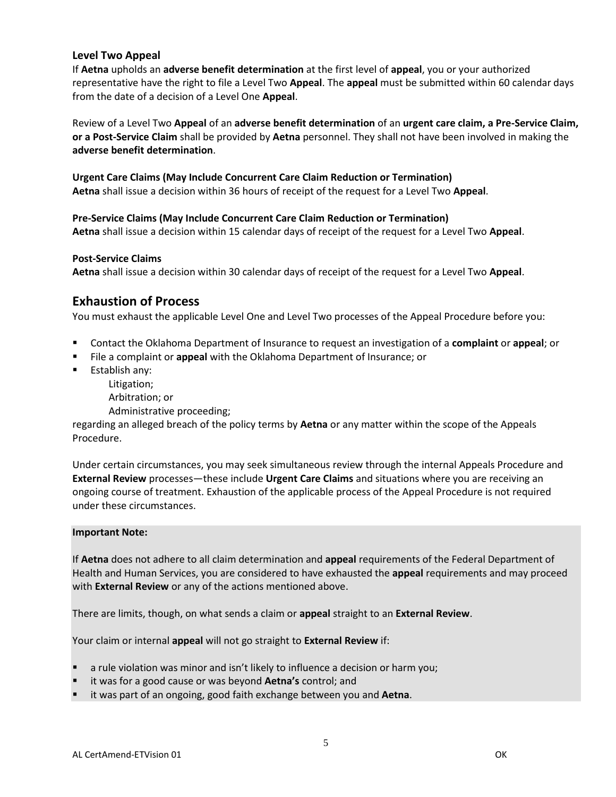#### **Level Two Appeal**

If **Aetna** upholds an **adverse benefit determination** at the first level of **appeal**, you or your authorized representative have the right to file a Level Two **Appeal**. The **appeal** must be submitted within 60 calendar days from the date of a decision of a Level One **Appeal**.

Review of a Level Two **Appeal** of an **adverse benefit determination** of an **urgent care claim, a Pre-Service Claim, or a Post-Service Claim** shall be provided by **Aetna** personnel. They shall not have been involved in making the **adverse benefit determination**.

#### **Urgent Care Claims (May Include Concurrent Care Claim Reduction or Termination)**

**Aetna** shall issue a decision within 36 hours of receipt of the request for a Level Two **Appeal**.

**Pre-Service Claims (May Include Concurrent Care Claim Reduction or Termination) Aetna** shall issue a decision within 15 calendar days of receipt of the request for a Level Two **Appeal**.

#### **Post-Service Claims**

**Aetna** shall issue a decision within 30 calendar days of receipt of the request for a Level Two **Appeal**.

### **Exhaustion of Process**

You must exhaust the applicable Level One and Level Two processes of the Appeal Procedure before you:

- Contact the Oklahoma Department of Insurance to request an investigation of a **complaint** or **appeal**; or
- File a complaint or **appeal** with the Oklahoma Department of Insurance; or
- **Establish any:** 
	- Litigation;
	- Arbitration; or
	- Administrative proceeding;

regarding an alleged breach of the policy terms by **Aetna** or any matter within the scope of the Appeals Procedure.

Under certain circumstances, you may seek simultaneous review through the internal Appeals Procedure and **External Review** processes—these include **Urgent Care Claims** and situations where you are receiving an ongoing course of treatment. Exhaustion of the applicable process of the Appeal Procedure is not required under these circumstances.

#### **Important Note:**

If **Aetna** does not adhere to all claim determination and **appeal** requirements of the Federal Department of Health and Human Services, you are considered to have exhausted the **appeal** requirements and may proceed with **External Review** or any of the actions mentioned above.

There are limits, though, on what sends a claim or **appeal** straight to an **External Review**.

Your claim or internal **appeal** will not go straight to **External Review** if:

- a rule violation was minor and isn't likely to influence a decision or harm you;
- it was for a good cause or was beyond **Aetna's** control; and
- it was part of an ongoing, good faith exchange between you and **Aetna**.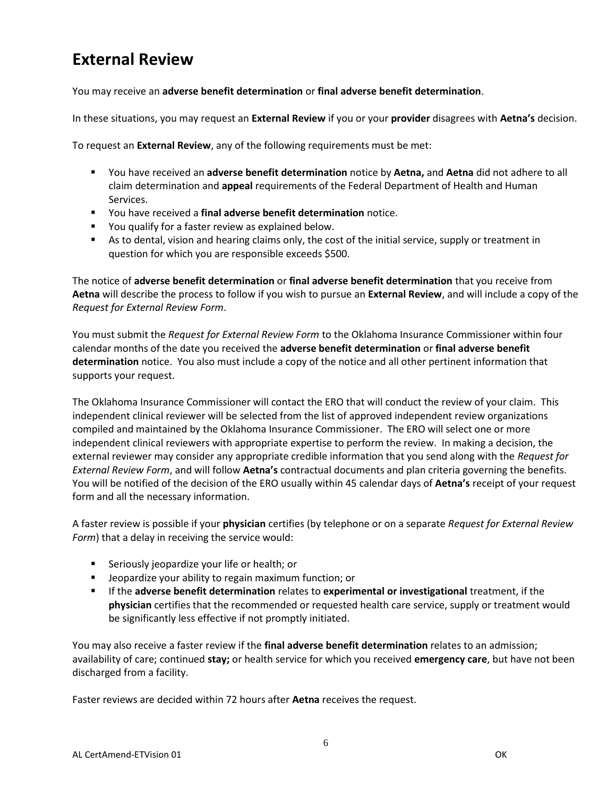# **External Review**

You may receive an **adverse benefit determination** or **final adverse benefit determination**.

In these situations, you may request an **External Review** if you or your **provider** disagrees with **Aetna's** decision.

To request an **External Review**, any of the following requirements must be met:

- You have received an **adverse benefit determination** notice by **Aetna,** and **Aetna** did not adhere to all claim determination and **appeal** requirements of the Federal Department of Health and Human Services.
- You have received a **final adverse benefit determination** notice.
- **P** You qualify for a faster review as explained below.
- As to dental, vision and hearing claims only, the cost of the initial service, supply or treatment in question for which you are responsible exceeds \$500.

The notice of **adverse benefit determination** or **final adverse benefit determination** that you receive from **Aetna** will describe the process to follow if you wish to pursue an **External Review**, and will include a copy of the *Request for External Review Form*.

You must submit the *Request for External Review Form* to the Oklahoma Insurance Commissioner within four calendar months of the date you received the **adverse benefit determination** or **final adverse benefit determination** notice. You also must include a copy of the notice and all other pertinent information that supports your request.

The Oklahoma Insurance Commissioner will contact the ERO that will conduct the review of your claim. This independent clinical reviewer will be selected from the list of approved independent review organizations compiled and maintained by the Oklahoma Insurance Commissioner. The ERO will select one or more independent clinical reviewers with appropriate expertise to perform the review. In making a decision, the external reviewer may consider any appropriate credible information that you send along with the *Request for External Review Form*, and will follow **Aetna's** contractual documents and plan criteria governing the benefits. You will be notified of the decision of the ERO usually within 45 calendar days of **Aetna's** receipt of your request form and all the necessary information.

A faster review is possible if your **physician** certifies (by telephone or on a separate *Request for External Review Form*) that a delay in receiving the service would:

- **Seriously jeopardize your life or health; or**
- **EXTED Jeopardize your ability to regain maximum function; or**
- If the **adverse benefit determination** relates to **experimental or investigational** treatment, if the **physician** certifies that the recommended or requested health care service, supply or treatment would be significantly less effective if not promptly initiated.

You may also receive a faster review if the **final adverse benefit determination** relates to an admission; availability of care; continued **stay;** or health service for which you received **emergency care**, but have not been discharged from a facility.

Faster reviews are decided within 72 hours after **Aetna** receives the request.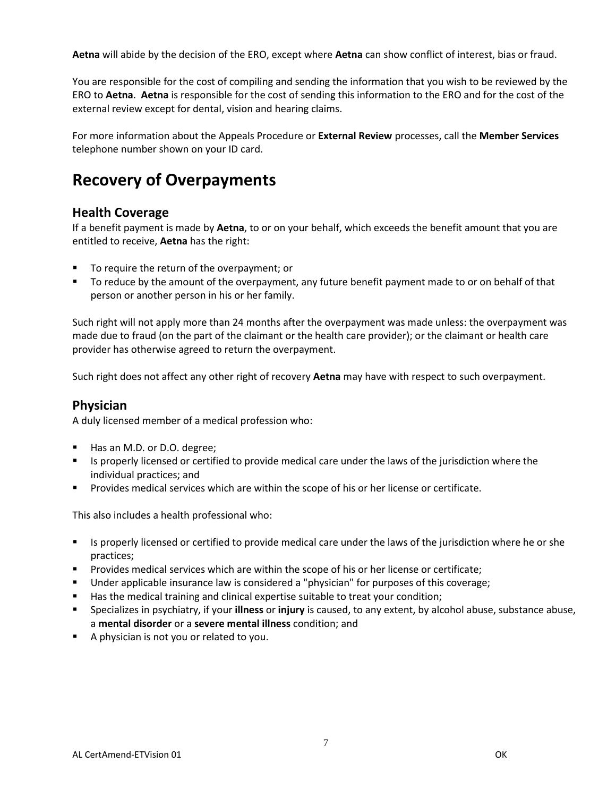**Aetna** will abide by the decision of the ERO, except where **Aetna** can show conflict of interest, bias or fraud.

You are responsible for the cost of compiling and sending the information that you wish to be reviewed by the ERO to **Aetna**. **Aetna** is responsible for the cost of sending this information to the ERO and for the cost of the external review except for dental, vision and hearing claims.

For more information about the Appeals Procedure or **External Review** processes, call the **Member Services** telephone number shown on your ID card.

# **Recovery of Overpayments**

## **Health Coverage**

If a benefit payment is made by **Aetna**, to or on your behalf, which exceeds the benefit amount that you are entitled to receive, **Aetna** has the right:

- To require the return of the overpayment; or
- To reduce by the amount of the overpayment, any future benefit payment made to or on behalf of that person or another person in his or her family.

Such right will not apply more than 24 months after the overpayment was made unless: the overpayment was made due to fraud (on the part of the claimant or the health care provider); or the claimant or health care provider has otherwise agreed to return the overpayment.

Such right does not affect any other right of recovery **Aetna** may have with respect to such overpayment.

## **Physician**

A duly licensed member of a medical profession who:

- Has an M.D. or D.O. degree;
- Is properly licensed or certified to provide medical care under the laws of the jurisdiction where the individual practices; and
- **Provides medical services which are within the scope of his or her license or certificate.**

This also includes a health professional who:

- Is properly licensed or certified to provide medical care under the laws of the jurisdiction where he or she practices;
- **Provides medical services which are within the scope of his or her license or certificate;**
- Under applicable insurance law is considered a "physician" for purposes of this coverage;
- Has the medical training and clinical expertise suitable to treat your condition;
- Specializes in psychiatry, if your **illness** or **injury** is caused, to any extent, by alcohol abuse, substance abuse, a **mental disorder** or a **severe mental illness** condition; and
- A physician is not you or related to you.